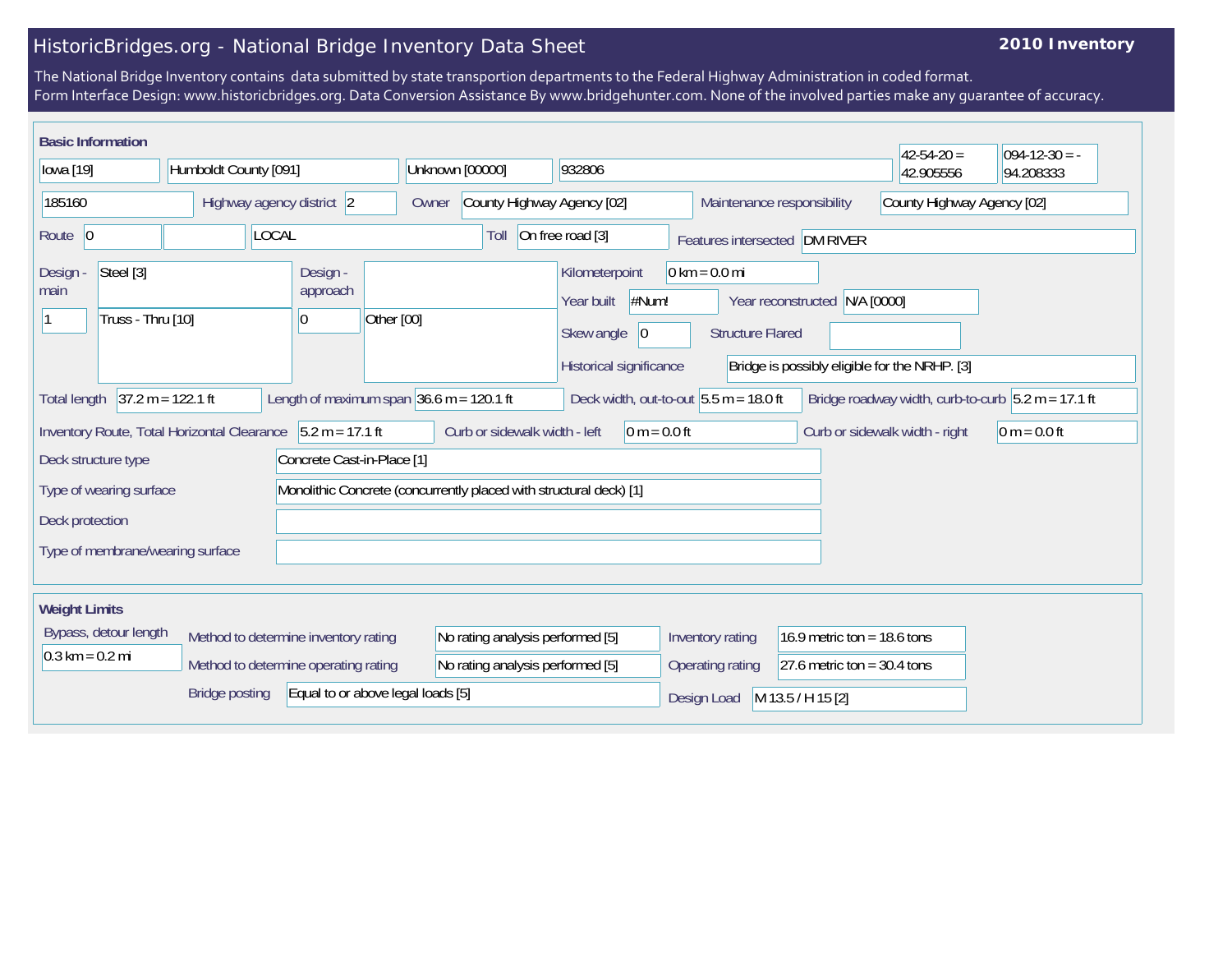## HistoricBridges.org - National Bridge Inventory Data Sheet

## **2010 Inventory**

The National Bridge Inventory contains data submitted by state transportion departments to the Federal Highway Administration in coded format. Form Interface Design: www.historicbridges.org. Data Conversion Assistance By www.bridgehunter.com. None of the involved parties make any guarantee of accuracy.

| <b>Basic Information</b>                                                                                                                                                |                                                                                                                                                                                              |                                  |                                                                    |                                   |                                     |                                                                                       |                                                            |                                                                                   | $42 - 54 - 20 =$ | $ 094-12-30 = -$ |
|-------------------------------------------------------------------------------------------------------------------------------------------------------------------------|----------------------------------------------------------------------------------------------------------------------------------------------------------------------------------------------|----------------------------------|--------------------------------------------------------------------|-----------------------------------|-------------------------------------|---------------------------------------------------------------------------------------|------------------------------------------------------------|-----------------------------------------------------------------------------------|------------------|------------------|
| lowa [19]                                                                                                                                                               |                                                                                                                                                                                              | Humboldt County [091]            |                                                                    | Unknown [00000]                   |                                     | 932806                                                                                |                                                            |                                                                                   | 42.905556        | 94.208333        |
| 185160                                                                                                                                                                  |                                                                                                                                                                                              |                                  | Highway agency district 2                                          |                                   | County Highway Agency [02]<br>Owner |                                                                                       |                                                            | County Highway Agency [02]<br>Maintenance responsibility                          |                  |                  |
| Route $ 0$                                                                                                                                                              |                                                                                                                                                                                              |                                  | <b>LOCAL</b>                                                       |                                   | Toll                                | On free road [3]                                                                      |                                                            | Features intersected DM RIVER                                                     |                  |                  |
| Design -<br>main                                                                                                                                                        | Steel [3]<br>Truss - Thru [10]                                                                                                                                                               |                                  | Design -<br>approach<br>10                                         | Other [00]                        |                                     | Kilometerpoint<br>#Num!<br>Year built<br>Skew angle<br> 0 <br>Historical significance | $0 \text{ km} = 0.0 \text{ mi}$<br><b>Structure Flared</b> | Year reconstructed<br>N/A [0000]<br>Bridge is possibly eligible for the NRHP. [3] |                  |                  |
|                                                                                                                                                                         | $37.2 m = 122.1 ft$<br>Length of maximum span $36.6$ m = 120.1 ft<br>Bridge roadway width, curb-to-curb $5.2 m = 17.1 ft$<br>Deck width, out-to-out $5.5$ m = 18.0 ft<br><b>Total length</b> |                                  |                                                                    |                                   |                                     |                                                                                       |                                                            |                                                                                   |                  |                  |
| $5.2 m = 17.1 ft$<br>Curb or sidewalk width - left<br>Inventory Route, Total Horizontal Clearance<br>$0 m = 0.0 ft$<br>Curb or sidewalk width - right<br>$0 m = 0.0 ft$ |                                                                                                                                                                                              |                                  |                                                                    |                                   |                                     |                                                                                       |                                                            |                                                                                   |                  |                  |
| Deck structure type                                                                                                                                                     |                                                                                                                                                                                              |                                  | Concrete Cast-in-Place [1]                                         |                                   |                                     |                                                                                       |                                                            |                                                                                   |                  |                  |
|                                                                                                                                                                         | Type of wearing surface                                                                                                                                                                      |                                  | Monolithic Concrete (concurrently placed with structural deck) [1] |                                   |                                     |                                                                                       |                                                            |                                                                                   |                  |                  |
| Deck protection                                                                                                                                                         |                                                                                                                                                                                              |                                  |                                                                    |                                   |                                     |                                                                                       |                                                            |                                                                                   |                  |                  |
|                                                                                                                                                                         |                                                                                                                                                                                              | Type of membrane/wearing surface |                                                                    |                                   |                                     |                                                                                       |                                                            |                                                                                   |                  |                  |
| <b>Weight Limits</b>                                                                                                                                                    |                                                                                                                                                                                              |                                  |                                                                    |                                   |                                     |                                                                                       |                                                            |                                                                                   |                  |                  |
|                                                                                                                                                                         | Bypass, detour length<br>Method to determine inventory rating                                                                                                                                |                                  |                                                                    |                                   | No rating analysis performed [5]    |                                                                                       | Inventory rating                                           | 16.9 metric ton = 18.6 tons                                                       |                  |                  |
| $0.3 \text{ km} = 0.2 \text{ mi}$                                                                                                                                       |                                                                                                                                                                                              |                                  | Method to determine operating rating                               |                                   | No rating analysis performed [5]    |                                                                                       | Operating rating                                           | 27.6 metric ton = $30.4$ tons                                                     |                  |                  |
|                                                                                                                                                                         |                                                                                                                                                                                              | <b>Bridge posting</b>            |                                                                    | Equal to or above legal loads [5] |                                     |                                                                                       | Design Load                                                | M 13.5 / H 15 [2]                                                                 |                  |                  |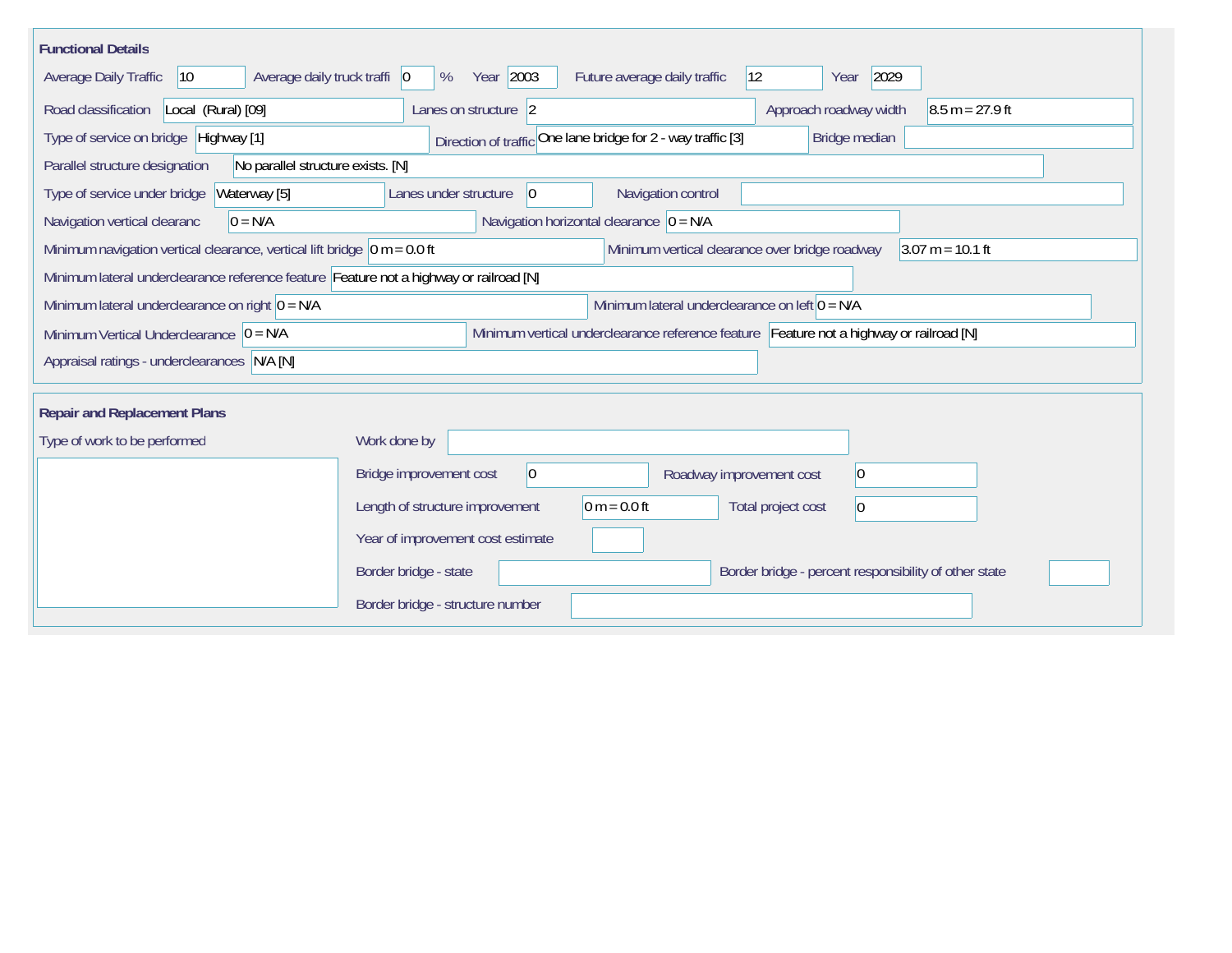| <b>Functional Details</b>                                                                                                                                |                                                                                         |  |  |  |  |  |  |  |  |
|----------------------------------------------------------------------------------------------------------------------------------------------------------|-----------------------------------------------------------------------------------------|--|--|--|--|--|--|--|--|
| Average daily truck traffi   0<br>Average Daily Traffic<br>$ 10\rangle$                                                                                  | Year 2003<br>Future average daily traffic<br>$ 12\rangle$<br>2029<br>%<br>Year          |  |  |  |  |  |  |  |  |
| Road classification<br>Local (Rural) [09]                                                                                                                | Approach roadway width<br>$8.5 m = 27.9 ft$<br>Lanes on structure 2                     |  |  |  |  |  |  |  |  |
| Type of service on bridge Highway [1]<br>Direction of traffic One lane bridge for 2 - way traffic [3]<br>Bridge median                                   |                                                                                         |  |  |  |  |  |  |  |  |
| Parallel structure designation<br>No parallel structure exists. [N]                                                                                      |                                                                                         |  |  |  |  |  |  |  |  |
| Type of service under bridge<br>Waterway [5]                                                                                                             | $ 0\rangle$<br>Navigation control<br>Lanes under structure                              |  |  |  |  |  |  |  |  |
| $0 = N/A$<br>Navigation vertical clearanc                                                                                                                | Navigation horizontal clearance $ 0 = N/A$                                              |  |  |  |  |  |  |  |  |
| Minimum navigation vertical clearance, vertical lift bridge $\vert$ 0 m = 0.0 ft<br>Minimum vertical clearance over bridge roadway<br>$3.07 m = 10.1 ft$ |                                                                                         |  |  |  |  |  |  |  |  |
| Minimum lateral underclearance reference feature Feature not a highway or railroad [N]                                                                   |                                                                                         |  |  |  |  |  |  |  |  |
| Minimum lateral underclearance on left $0 = N/A$<br>Minimum lateral underclearance on right $0 = N/A$                                                    |                                                                                         |  |  |  |  |  |  |  |  |
| Minimum Vertical Underclearance $ 0 = N/A$                                                                                                               | Minimum vertical underclearance reference feature Feature not a highway or railroad [N] |  |  |  |  |  |  |  |  |
| Appraisal ratings - underclearances N/A [N]                                                                                                              |                                                                                         |  |  |  |  |  |  |  |  |
|                                                                                                                                                          |                                                                                         |  |  |  |  |  |  |  |  |
| <b>Repair and Replacement Plans</b>                                                                                                                      |                                                                                         |  |  |  |  |  |  |  |  |
| Type of work to be performed                                                                                                                             | Work done by                                                                            |  |  |  |  |  |  |  |  |
|                                                                                                                                                          | $ 0\rangle$<br>Bridge improvement cost<br>$ 0\rangle$<br>Roadway improvement cost       |  |  |  |  |  |  |  |  |
|                                                                                                                                                          | Length of structure improvement<br>0 m = $0.0$ ft<br>Total project cost<br>$ 0\rangle$  |  |  |  |  |  |  |  |  |
|                                                                                                                                                          | Year of improvement cost estimate                                                       |  |  |  |  |  |  |  |  |
|                                                                                                                                                          | Border bridge - state<br>Border bridge - percent responsibility of other state          |  |  |  |  |  |  |  |  |
|                                                                                                                                                          | Border bridge - structure number                                                        |  |  |  |  |  |  |  |  |